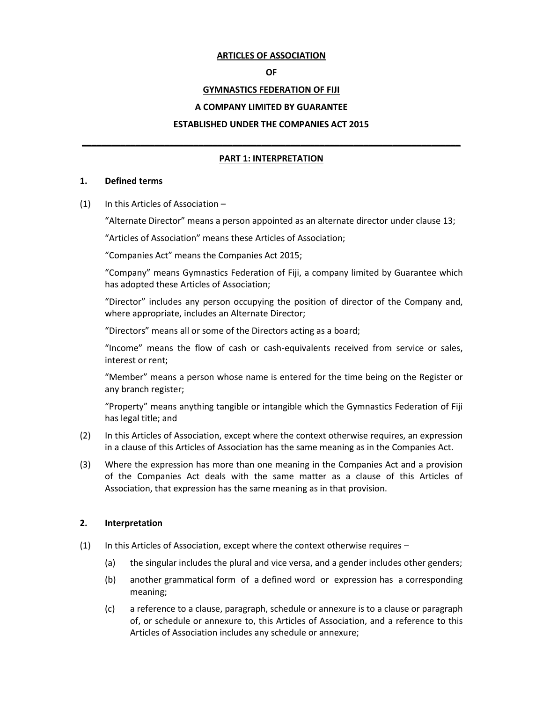#### **ARTICLES OF ASSOCIATION**

#### **OF**

# **GYMNASTICS FEDERATION OF FIJI**

#### **A COMPANY LIMITED BY GUARANTEE**

#### **ESTABLISHED UNDER THE COMPANIES ACT 2015**

# **\_\_\_\_\_\_\_\_\_\_\_\_\_\_\_\_\_\_\_\_\_\_\_\_\_\_\_\_\_\_\_\_\_\_\_\_\_\_\_\_\_\_\_\_\_\_\_\_\_\_\_\_\_\_\_\_\_\_\_\_\_\_\_\_\_\_\_\_\_\_\_\_\_\_\_\_\_\_ PART 1: INTERPRETATION**

#### **1. Defined terms**

(1) In this Articles of Association –

"Alternate Director" means a person appointed as an alternate director under clause 13;

"Articles of Association" means these Articles of Association;

"Companies Act" means the Companies Act 2015;

"Company" means Gymnastics Federation of Fiji, a company limited by Guarantee which has adopted these Articles of Association;

"Director" includes any person occupying the position of director of the Company and, where appropriate, includes an Alternate Director;

"Directors" means all or some of the Directors acting as a board;

"Income" means the flow of cash or cash-equivalents received from service or sales, interest or rent;

"Member" means a person whose name is entered for the time being on the Register or any branch register;

"Property" means anything tangible or intangible which the Gymnastics Federation of Fiji has legal title; and

- (2) In this Articles of Association, except where the context otherwise requires, an expression in a clause of this Articles of Association has the same meaning as in the Companies Act.
- (3) Where the expression has more than one meaning in the Companies Act and a provision of the Companies Act deals with the same matter as a clause of this Articles of Association, that expression has the same meaning as in that provision.

#### **2. Interpretation**

- (1) In this Articles of Association, except where the context otherwise requires
	- (a) the singular includes the plural and vice versa, and a gender includes other genders;
	- (b) another grammatical form of a defined word or expression has a corresponding meaning;
	- (c) a reference to a clause, paragraph, schedule or annexure is to a clause or paragraph of, or schedule or annexure to, this Articles of Association, and a reference to this Articles of Association includes any schedule or annexure;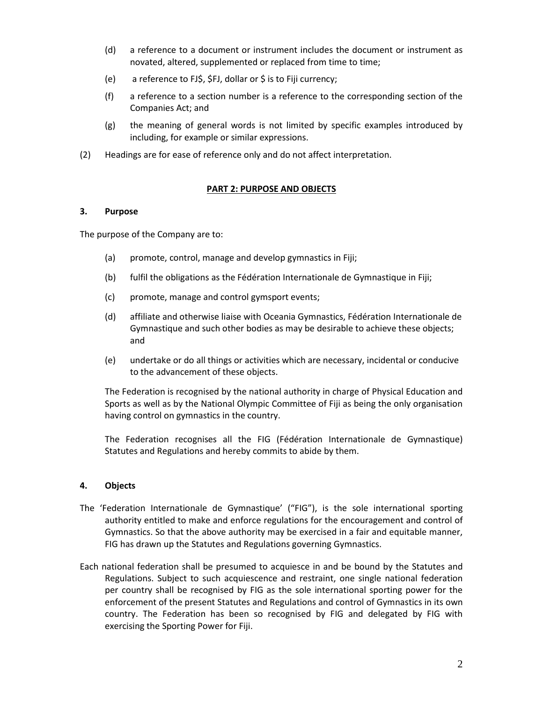- (d) a reference to a document or instrument includes the document or instrument as novated, altered, supplemented or replaced from time to time;
- (e) a reference to FJ\$, \$FJ, dollar or \$ is to Fiji currency;
- (f) a reference to a section number is a reference to the corresponding section of the Companies Act; and
- (g) the meaning of general words is not limited by specific examples introduced by including, for example or similar expressions.
- (2) Headings are for ease of reference only and do not affect interpretation.

# **PART 2: PURPOSE AND OBJECTS**

# **3. Purpose**

The purpose of the Company are to:

- (a) promote, control, manage and develop gymnastics in Fiji;
- (b) fulfil the obligations as the Fédération Internationale de Gymnastique in Fiji;
- (c) promote, manage and control gymsport events;
- (d) affiliate and otherwise liaise with Oceania Gymnastics, Fédération Internationale de Gymnastique and such other bodies as may be desirable to achieve these objects; and
- (e) undertake or do all things or activities which are necessary, incidental or conducive to the advancement of these objects.

The Federation is recognised by the national authority in charge of Physical Education and Sports as well as by the National Olympic Committee of Fiji as being the only organisation having control on gymnastics in the country.

The Federation recognises all the FIG (Fédération Internationale de Gymnastique) Statutes and Regulations and hereby commits to abide by them.

# **4. Objects**

- The 'Federation Internationale de Gymnastique' ("FIG"), is the sole international sporting authority entitled to make and enforce regulations for the encouragement and control of Gymnastics. So that the above authority may be exercised in a fair and equitable manner, FIG has drawn up the Statutes and Regulations governing Gymnastics.
- Each national federation shall be presumed to acquiesce in and be bound by the Statutes and Regulations. Subject to such acquiescence and restraint, one single national federation per country shall be recognised by FIG as the sole international sporting power for the enforcement of the present Statutes and Regulations and control of Gymnastics in its own country. The Federation has been so recognised by FIG and delegated by FIG with exercising the Sporting Power for Fiji.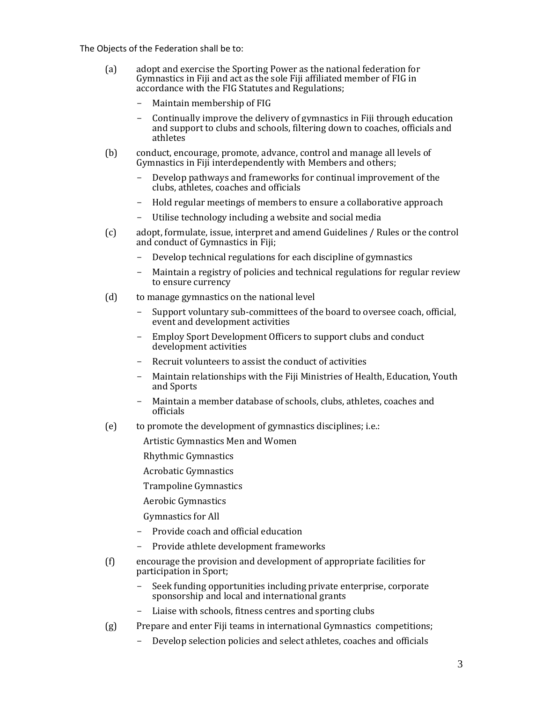The Objects of the Federation shall be to:

- (a) adopt and exercise the Sporting Power as the national federation for Gymnastics in Fiji and act as the sole Fiji affiliated member of FIG in accordance with the FIG Statutes and Regulations;
	- Maintain membership of FIG
	- Continually improve the delivery of gymnastics in Fiji through education and support to clubs and schools, filtering down to coaches, officials and athletes
- (b) conduct, encourage, promote, advance, control and manage all levels of Gymnastics in Fiji interdependently with Members and others;
	- Develop pathways and frameworks for continual improvement of the clubs, athletes, coaches and officials
	- Hold regular meetings of members to ensure a collaborative approach
	- Utilise technology including a website and social media
- (c) adopt, formulate, issue, interpret and amend Guidelines / Rules or the control and conduct of Gymnastics in Fiji;
	- Develop technical regulations for each discipline of gymnastics
	- Maintain a registry of policies and technical regulations for regular review to ensure currency
- (d) to manage gymnastics on the national level
	- Support voluntary sub-committees of the board to oversee coach, official, event and development activities
	- Employ Sport Development Officers to support clubs and conduct development activities
	- Recruit volunteers to assist the conduct of activities
	- Maintain relationships with the Fiji Ministries of Health, Education, Youth and Sports
	- Maintain a member database of schools, clubs, athletes, coaches and officials
- (e) to promote the development of gymnastics disciplines; i.e.:

Artistic Gymnastics Men and Women

Rhythmic Gymnastics

Acrobatic Gymnastics

Trampoline Gymnastics

Aerobic Gymnastics

Gymnastics for All

- Provide coach and official education
- Provide athlete development frameworks
- (f) encourage the provision and development of appropriate facilities for participation in Sport;
	- Seek funding opportunities including private enterprise, corporate sponsorship and local and international grants
	- Liaise with schools, fitness centres and sporting clubs
- (g) Prepare and enter Fiji teams in international Gymnastics competitions;
	- Develop selection policies and select athletes, coaches and officials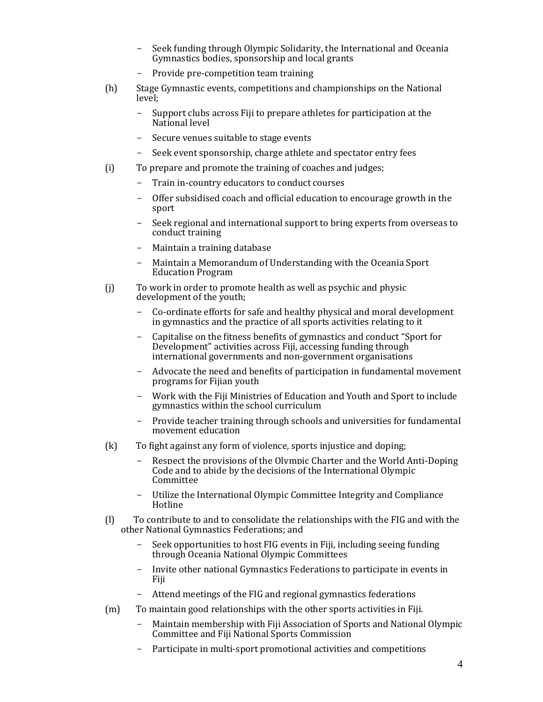- Seek funding through Olympic Solidarity, the International and Oceania Gymnastics bodies, sponsorship and local grants
- Provide pre-competition team training
- (h) Stage Gymnastic events, competitions and championships on the National level;
	- Support clubs across Fiji to prepare athletes for participation at the National level
	- Secure venues suitable to stage events
	- Seek event sponsorship, charge athlete and spectator entry fees
- (i) To prepare and promote the training of coaches and judges;
	- Train in-country educators to conduct courses
	- Offer subsidised coach and official education to encourage growth in the sport
	- Seek regional and international support to bring experts from overseas to conduct training
	- Maintain a training database
	- Maintain a Memorandum of Understanding with the Oceania Sport Education Program
- (j) To work in order to promote health as well as psychic and physic development of the youth;
	- Co-ordinate efforts for safe and healthy physical and moral development in gymnastics and the practice of all sports activities relating to it
	- Capitalise on the fitness benefits of gymnastics and conduct "Sport for Development" activities across Fiji, accessing funding through international governments and non-government organisations
	- Advocate the need and benefits of participation in fundamental movement programs for Fijian youth
	- Work with the Fiji Ministries of Education and Youth and Sport to include gymnastics within the school curriculum
	- Provide teacher training through schools and universities for fundamental movement education
- (k) To fight against any form of violence, sports injustice and doping;
	- Respect the provisions of the Olympic Charter and the World Anti-Doping Code and to abide by the decisions of the International Olympic Committee
	- Utilize the International Olympic Committee Integrity and Compliance Hotline
- (l) To contribute to and to consolidate the relationships with the FIG and with the other National Gymnastics Federations; and
	- Seek opportunities to host FIG events in Fiji, including seeing funding through Oceania National Olympic Committees
	- Invite other national Gymnastics Federations to participate in events in Fiji
	- Attend meetings of the FIG and regional gymnastics federations
- (m) To maintain good relationships with the other sports activities in Fiji.
	- Maintain membership with Fiji Association of Sports and National Olympic Committee and Fiji National Sports Commission
	- Participate in multi-sport promotional activities and competitions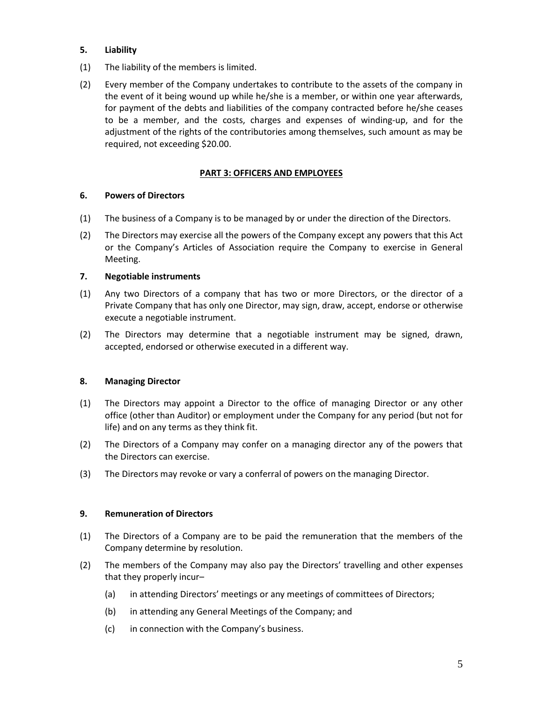# **5. Liability**

- (1) The liability of the members is limited.
- (2) Every member of the Company undertakes to contribute to the assets of the company in the event of it being wound up while he/she is a member, or within one year afterwards, for payment of the debts and liabilities of the company contracted before he/she ceases to be a member, and the costs, charges and expenses of winding-up, and for the adjustment of the rights of the contributories among themselves, such amount as may be required, not exceeding \$20.00.

# **PART 3: OFFICERS AND EMPLOYEES**

#### **6. Powers of Directors**

- (1) The business of a Company is to be managed by or under the direction of the Directors.
- (2) The Directors may exercise all the powers of the Company except any powers that this Act or the Company's Articles of Association require the Company to exercise in General Meeting.

#### **7. Negotiable instruments**

- (1) Any two Directors of a company that has two or more Directors, or the director of a Private Company that has only one Director, may sign, draw, accept, endorse or otherwise execute a negotiable instrument.
- (2) The Directors may determine that a negotiable instrument may be signed, drawn, accepted, endorsed or otherwise executed in a different way.

#### **8. Managing Director**

- (1) The Directors may appoint a Director to the office of managing Director or any other office (other than Auditor) or employment under the Company for any period (but not for life) and on any terms as they think fit.
- (2) The Directors of a Company may confer on a managing director any of the powers that the Directors can exercise.
- (3) The Directors may revoke or vary a conferral of powers on the managing Director.

#### **9. Remuneration of Directors**

- (1) The Directors of a Company are to be paid the remuneration that the members of the Company determine by resolution.
- (2) The members of the Company may also pay the Directors' travelling and other expenses that they properly incur–
	- (a) in attending Directors' meetings or any meetings of committees of Directors;
	- (b) in attending any General Meetings of the Company; and
	- (c) in connection with the Company's business.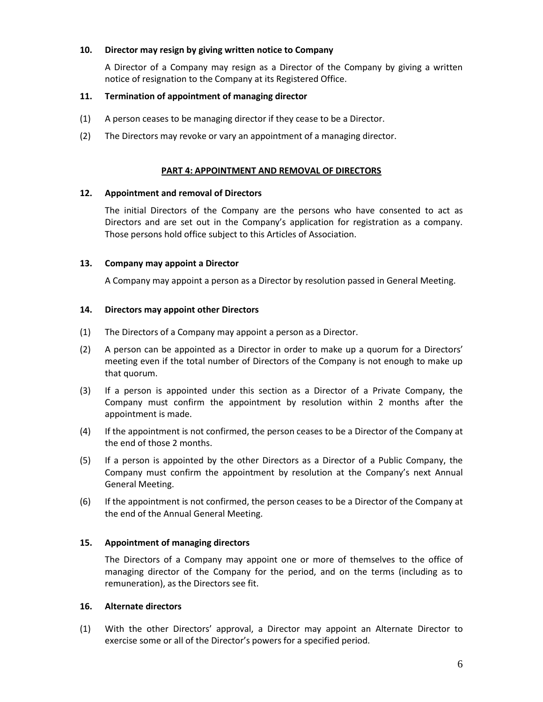### **10. Director may resign by giving written notice to Company**

A Director of a Company may resign as a Director of the Company by giving a written notice of resignation to the Company at its Registered Office.

### **11. Termination of appointment of managing director**

- (1) A person ceases to be managing director if they cease to be a Director.
- (2) The Directors may revoke or vary an appointment of a managing director.

### **PART 4: APPOINTMENT AND REMOVAL OF DIRECTORS**

#### **12. Appointment and removal of Directors**

The initial Directors of the Company are the persons who have consented to act as Directors and are set out in the Company's application for registration as a company. Those persons hold office subject to this Articles of Association.

#### **13. Company may appoint a Director**

A Company may appoint a person as a Director by resolution passed in General Meeting.

#### **14. Directors may appoint other Directors**

- (1) The Directors of a Company may appoint a person as a Director.
- (2) A person can be appointed as a Director in order to make up a quorum for a Directors' meeting even if the total number of Directors of the Company is not enough to make up that quorum.
- (3) If a person is appointed under this section as a Director of a Private Company, the Company must confirm the appointment by resolution within 2 months after the appointment is made.
- (4) If the appointment is not confirmed, the person ceases to be a Director of the Company at the end of those 2 months.
- (5) If a person is appointed by the other Directors as a Director of a Public Company, the Company must confirm the appointment by resolution at the Company's next Annual General Meeting.
- (6) If the appointment is not confirmed, the person ceases to be a Director of the Company at the end of the Annual General Meeting.

# **15. Appointment of managing directors**

The Directors of a Company may appoint one or more of themselves to the office of managing director of the Company for the period, and on the terms (including as to remuneration), as the Directors see fit.

#### **16. Alternate directors**

(1) With the other Directors' approval, a Director may appoint an Alternate Director to exercise some or all of the Director's powers for a specified period.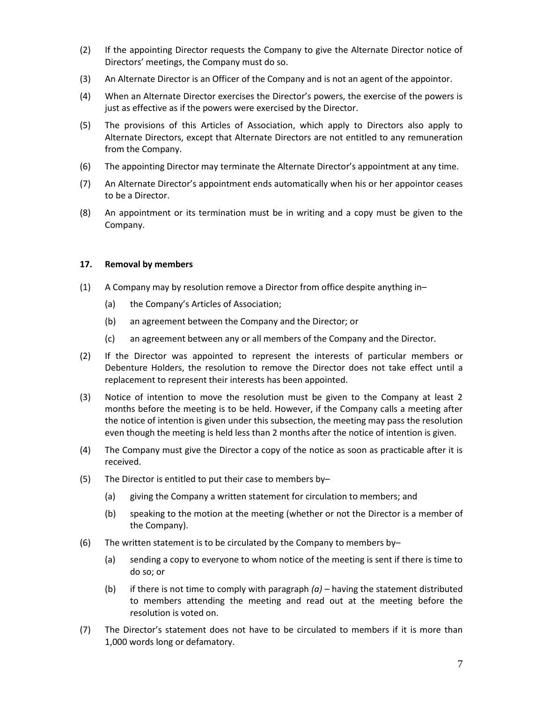- (2) If the appointing Director requests the Company to give the Alternate Director notice of Directors' meetings, the Company must do so.
- (3) An Alternate Director is an Officer of the Company and is not an agent of the appointor.
- (4) When an Alternate Director exercises the Director's powers, the exercise of the powers is just as effective as if the powers were exercised by the Director.
- (5) The provisions of this Articles of Association, which apply to Directors also apply to Alternate Directors, except that Alternate Directors are not entitled to any remuneration from the Company.
- (6) The appointing Director may terminate the Alternate Director's appointment at any time.
- (7) An Alternate Director's appointment ends automatically when his or her appointor ceases to be a Director.
- (8) An appointment or its termination must be in writing and a copy must be given to the Company.

#### **17. Removal by members**

- (1) A Company may by resolution remove a Director from office despite anything in–
	- (a) the Company's Articles of Association;
	- (b) an agreement between the Company and the Director; or
	- (c) an agreement between any or all members of the Company and the Director.
- (2) If the Director was appointed to represent the interests of particular members or Debenture Holders, the resolution to remove the Director does not take effect until a replacement to represent their interests has been appointed.
- (3) Notice of intention to move the resolution must be given to the Company at least 2 months before the meeting is to be held. However, if the Company calls a meeting after the notice of intention is given under this subsection, the meeting may pass the resolution even though the meeting is held less than 2 months after the notice of intention is given.
- (4) The Company must give the Director a copy of the notice as soon as practicable after it is received.
- (5) The Director is entitled to put their case to members by–
	- (a) giving the Company a written statement for circulation to members; and
	- (b) speaking to the motion at the meeting (whether or not the Director is a member of the Company).
- (6) The written statement is to be circulated by the Company to members by-
	- (a) sending a copy to everyone to whom notice of the meeting is sent if there is time to do so; or
	- (b) if there is not time to comply with paragraph *(a)* having the statement distributed to members attending the meeting and read out at the meeting before the resolution is voted on.
- (7) The Director's statement does not have to be circulated to members if it is more than 1,000 words long or defamatory.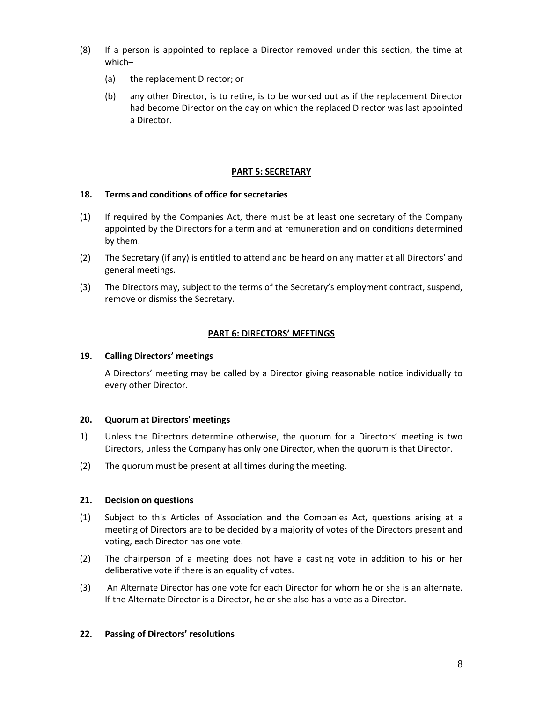- (8) If a person is appointed to replace a Director removed under this section, the time at which–
	- (a) the replacement Director; or
	- (b) any other Director, is to retire, is to be worked out as if the replacement Director had become Director on the day on which the replaced Director was last appointed a Director.

#### **PART 5: SECRETARY**

#### **18. Terms and conditions of office for secretaries**

- (1) If required by the Companies Act, there must be at least one secretary of the Company appointed by the Directors for a term and at remuneration and on conditions determined by them.
- (2) The Secretary (if any) is entitled to attend and be heard on any matter at all Directors' and general meetings.
- (3) The Directors may, subject to the terms of the Secretary's employment contract, suspend, remove or dismiss the Secretary.

# **PART 6: DIRECTORS' MEETINGS**

### **19. Calling Directors' meetings**

A Directors' meeting may be called by a Director giving reasonable notice individually to every other Director.

# **20. Quorum at Directors' meetings**

- 1) Unless the Directors determine otherwise, the quorum for a Directors' meeting is two Directors, unless the Company has only one Director, when the quorum is that Director.
- (2) The quorum must be present at all times during the meeting.

# **21. Decision on questions**

- (1) Subject to this Articles of Association and the Companies Act, questions arising at a meeting of Directors are to be decided by a majority of votes of the Directors present and voting, each Director has one vote.
- (2) The chairperson of a meeting does not have a casting vote in addition to his or her deliberative vote if there is an equality of votes.
- (3) An Alternate Director has one vote for each Director for whom he or she is an alternate. If the Alternate Director is a Director, he or she also has a vote as a Director.

#### **22. Passing of Directors' resolutions**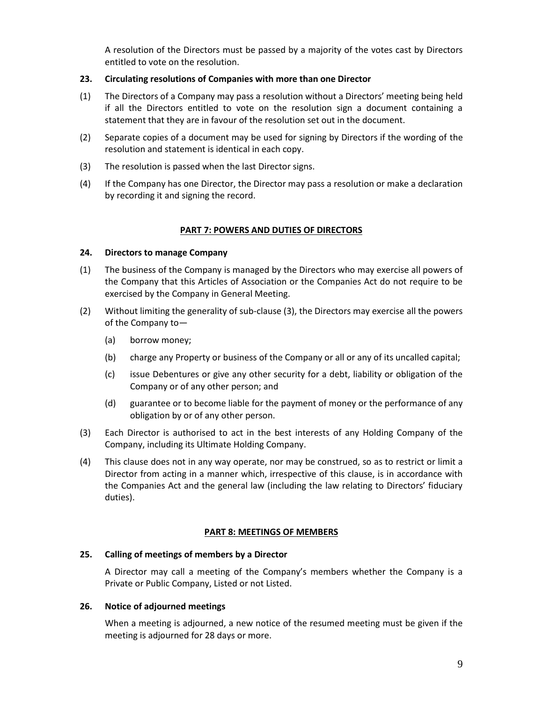A resolution of the Directors must be passed by a majority of the votes cast by Directors entitled to vote on the resolution.

# **23. Circulating resolutions of Companies with more than one Director**

- (1) The Directors of a Company may pass a resolution without a Directors' meeting being held if all the Directors entitled to vote on the resolution sign a document containing a statement that they are in favour of the resolution set out in the document.
- (2) Separate copies of a document may be used for signing by Directors if the wording of the resolution and statement is identical in each copy.
- (3) The resolution is passed when the last Director signs.
- (4) If the Company has one Director, the Director may pass a resolution or make a declaration by recording it and signing the record.

# **PART 7: POWERS AND DUTIES OF DIRECTORS**

# **24. Directors to manage Company**

- (1) The business of the Company is managed by the Directors who may exercise all powers of the Company that this Articles of Association or the Companies Act do not require to be exercised by the Company in General Meeting.
- (2) Without limiting the generality of sub-clause (3), the Directors may exercise all the powers of the Company to—
	- (a) borrow money;
	- (b) charge any Property or business of the Company or all or any of its uncalled capital;
	- (c) issue Debentures or give any other security for a debt, liability or obligation of the Company or of any other person; and
	- (d) guarantee or to become liable for the payment of money or the performance of any obligation by or of any other person.
- (3) Each Director is authorised to act in the best interests of any Holding Company of the Company, including its Ultimate Holding Company.
- (4) This clause does not in any way operate, nor may be construed, so as to restrict or limit a Director from acting in a manner which, irrespective of this clause, is in accordance with the Companies Act and the general law (including the law relating to Directors' fiduciary duties).

# **PART 8: MEETINGS OF MEMBERS**

# **25. Calling of meetings of members by a Director**

A Director may call a meeting of the Company's members whether the Company is a Private or Public Company, Listed or not Listed.

# **26. Notice of adjourned meetings**

When a meeting is adjourned, a new notice of the resumed meeting must be given if the meeting is adjourned for 28 days or more.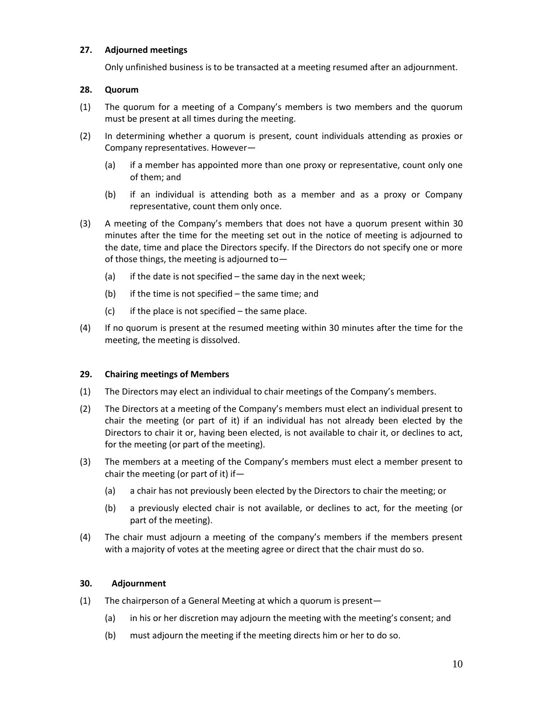# **27. Adjourned meetings**

Only unfinished business is to be transacted at a meeting resumed after an adjournment.

#### **28. Quorum**

- (1) The quorum for a meeting of a Company's members is two members and the quorum must be present at all times during the meeting.
- (2) In determining whether a quorum is present, count individuals attending as proxies or Company representatives. However—
	- (a) if a member has appointed more than one proxy or representative, count only one of them; and
	- (b) if an individual is attending both as a member and as a proxy or Company representative, count them only once.
- (3) A meeting of the Company's members that does not have a quorum present within 30 minutes after the time for the meeting set out in the notice of meeting is adjourned to the date, time and place the Directors specify. If the Directors do not specify one or more of those things, the meeting is adjourned to—
	- (a) if the date is not specified  $-$  the same day in the next week;
	- (b) if the time is not specified  $-$  the same time; and
	- $(c)$  if the place is not specified the same place.
- (4) If no quorum is present at the resumed meeting within 30 minutes after the time for the meeting, the meeting is dissolved.

#### **29. Chairing meetings of Members**

- (1) The Directors may elect an individual to chair meetings of the Company's members.
- (2) The Directors at a meeting of the Company's members must elect an individual present to chair the meeting (or part of it) if an individual has not already been elected by the Directors to chair it or, having been elected, is not available to chair it, or declines to act, for the meeting (or part of the meeting).
- (3) The members at a meeting of the Company's members must elect a member present to chair the meeting (or part of it) if—
	- (a) a chair has not previously been elected by the Directors to chair the meeting; or
	- (b) a previously elected chair is not available, or declines to act, for the meeting (or part of the meeting).
- (4) The chair must adjourn a meeting of the company's members if the members present with a majority of votes at the meeting agree or direct that the chair must do so.

#### **30. Adjournment**

- (1) The chairperson of a General Meeting at which a quorum is present—
	- (a) in his or her discretion may adjourn the meeting with the meeting's consent; and
	- (b) must adjourn the meeting if the meeting directs him or her to do so.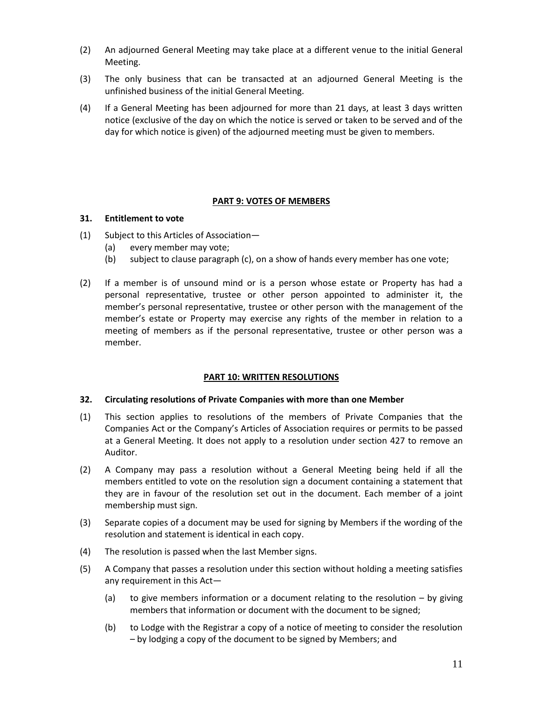- (2) An adjourned General Meeting may take place at a different venue to the initial General Meeting.
- (3) The only business that can be transacted at an adjourned General Meeting is the unfinished business of the initial General Meeting.
- (4) If a General Meeting has been adjourned for more than 21 days, at least 3 days written notice (exclusive of the day on which the notice is served or taken to be served and of the day for which notice is given) of the adjourned meeting must be given to members.

# **PART 9: VOTES OF MEMBERS**

# **31. Entitlement to vote**

- (1) Subject to this Articles of Association—
	- (a) every member may vote;
	- (b) subject to clause paragraph (c), on a show of hands every member has one vote;
- (2) If a member is of unsound mind or is a person whose estate or Property has had a personal representative, trustee or other person appointed to administer it, the member's personal representative, trustee or other person with the management of the member's estate or Property may exercise any rights of the member in relation to a meeting of members as if the personal representative, trustee or other person was a member.

# **PART 10: WRITTEN RESOLUTIONS**

# **32. Circulating resolutions of Private Companies with more than one Member**

- (1) This section applies to resolutions of the members of Private Companies that the Companies Act or the Company's Articles of Association requires or permits to be passed at a General Meeting. It does not apply to a resolution under section 427 to remove an Auditor.
- (2) A Company may pass a resolution without a General Meeting being held if all the members entitled to vote on the resolution sign a document containing a statement that they are in favour of the resolution set out in the document. Each member of a joint membership must sign.
- (3) Separate copies of a document may be used for signing by Members if the wording of the resolution and statement is identical in each copy.
- (4) The resolution is passed when the last Member signs.
- (5) A Company that passes a resolution under this section without holding a meeting satisfies any requirement in this Act—
	- (a) to give members information or a document relating to the resolution  $-$  by giving members that information or document with the document to be signed;
	- (b) to Lodge with the Registrar a copy of a notice of meeting to consider the resolution – by lodging a copy of the document to be signed by Members; and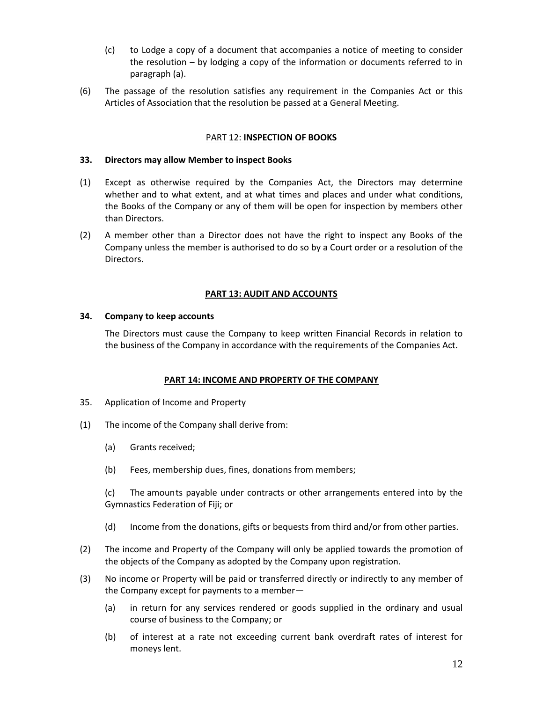- (c) to Lodge a copy of a document that accompanies a notice of meeting to consider the resolution – by lodging a copy of the information or documents referred to in paragraph (a).
- (6) The passage of the resolution satisfies any requirement in the Companies Act or this Articles of Association that the resolution be passed at a General Meeting.

# PART 12: **INSPECTION OF BOOKS**

### **33. Directors may allow Member to inspect Books**

- (1) Except as otherwise required by the Companies Act, the Directors may determine whether and to what extent, and at what times and places and under what conditions, the Books of the Company or any of them will be open for inspection by members other than Directors.
- (2) A member other than a Director does not have the right to inspect any Books of the Company unless the member is authorised to do so by a Court order or a resolution of the Directors.

# **PART 13: AUDIT AND ACCOUNTS**

#### **34. Company to keep accounts**

The Directors must cause the Company to keep written Financial Records in relation to the business of the Company in accordance with the requirements of the Companies Act.

# **PART 14: INCOME AND PROPERTY OF THE COMPANY**

- 35. Application of Income and Property
- (1) The income of the Company shall derive from:
	- (a) Grants received;
	- (b) Fees, membership dues, fines, donations from members;

(c) The amounts payable under contracts or other arrangements entered into by the Gymnastics Federation of Fiji; or

- (d) Income from the donations, gifts or bequests from third and/or from other parties.
- (2) The income and Property of the Company will only be applied towards the promotion of the objects of the Company as adopted by the Company upon registration.
- (3) No income or Property will be paid or transferred directly or indirectly to any member of the Company except for payments to a member—
	- (a) in return for any services rendered or goods supplied in the ordinary and usual course of business to the Company; or
	- (b) of interest at a rate not exceeding current bank overdraft rates of interest for moneys lent.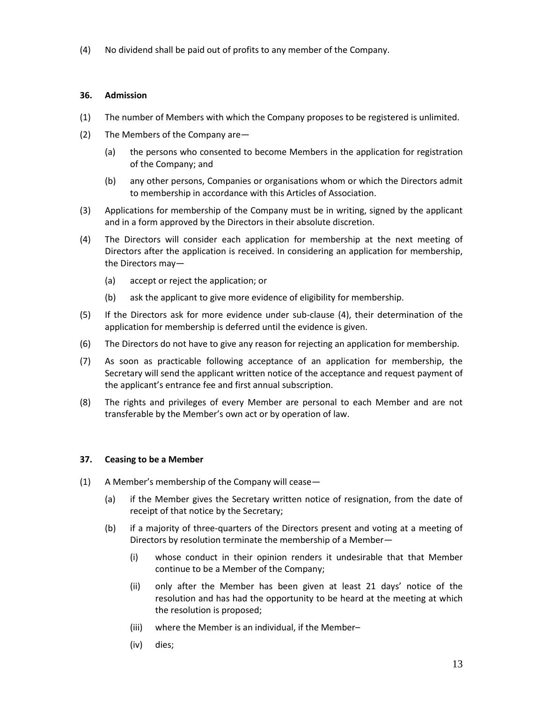(4) No dividend shall be paid out of profits to any member of the Company.

# **36. Admission**

- (1) The number of Members with which the Company proposes to be registered is unlimited.
- (2) The Members of the Company are—
	- (a) the persons who consented to become Members in the application for registration of the Company; and
	- (b) any other persons, Companies or organisations whom or which the Directors admit to membership in accordance with this Articles of Association.
- (3) Applications for membership of the Company must be in writing, signed by the applicant and in a form approved by the Directors in their absolute discretion.
- (4) The Directors will consider each application for membership at the next meeting of Directors after the application is received. In considering an application for membership, the Directors may—
	- (a) accept or reject the application; or
	- (b) ask the applicant to give more evidence of eligibility for membership.
- (5) If the Directors ask for more evidence under sub-clause (4), their determination of the application for membership is deferred until the evidence is given.
- (6) The Directors do not have to give any reason for rejecting an application for membership.
- (7) As soon as practicable following acceptance of an application for membership, the Secretary will send the applicant written notice of the acceptance and request payment of the applicant's entrance fee and first annual subscription.
- (8) The rights and privileges of every Member are personal to each Member and are not transferable by the Member's own act or by operation of law.

# **37. Ceasing to be a Member**

- (1) A Member's membership of the Company will cease—
	- (a) if the Member gives the Secretary written notice of resignation, from the date of receipt of that notice by the Secretary;
	- (b) if a majority of three-quarters of the Directors present and voting at a meeting of Directors by resolution terminate the membership of a Member—
		- (i) whose conduct in their opinion renders it undesirable that that Member continue to be a Member of the Company;
		- (ii) only after the Member has been given at least 21 days' notice of the resolution and has had the opportunity to be heard at the meeting at which the resolution is proposed;
		- (iii) where the Member is an individual, if the Member–
		- (iv) dies;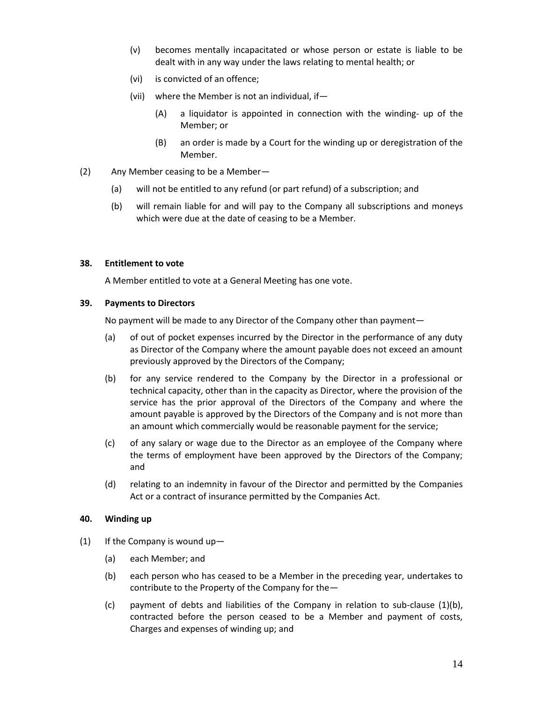- (v) becomes mentally incapacitated or whose person or estate is liable to be dealt with in any way under the laws relating to mental health; or
- (vi) is convicted of an offence;
- (vii) where the Member is not an individual, if—
	- (A) a liquidator is appointed in connection with the winding- up of the Member; or
	- (B) an order is made by a Court for the winding up or deregistration of the Member.
- (2) Any Member ceasing to be a Member—
	- (a) will not be entitled to any refund (or part refund) of a subscription; and
	- (b) will remain liable for and will pay to the Company all subscriptions and moneys which were due at the date of ceasing to be a Member.

#### **38. Entitlement to vote**

A Member entitled to vote at a General Meeting has one vote.

#### **39. Payments to Directors**

No payment will be made to any Director of the Company other than payment—

- (a) of out of pocket expenses incurred by the Director in the performance of any duty as Director of the Company where the amount payable does not exceed an amount previously approved by the Directors of the Company;
- (b) for any service rendered to the Company by the Director in a professional or technical capacity, other than in the capacity as Director, where the provision of the service has the prior approval of the Directors of the Company and where the amount payable is approved by the Directors of the Company and is not more than an amount which commercially would be reasonable payment for the service;
- (c) of any salary or wage due to the Director as an employee of the Company where the terms of employment have been approved by the Directors of the Company; and
- (d) relating to an indemnity in favour of the Director and permitted by the Companies Act or a contract of insurance permitted by the Companies Act.

# **40. Winding up**

- (1) If the Company is wound up—
	- (a) each Member; and
	- (b) each person who has ceased to be a Member in the preceding year, undertakes to contribute to the Property of the Company for the—
	- (c) payment of debts and liabilities of the Company in relation to sub-clause (1)(b), contracted before the person ceased to be a Member and payment of costs, Charges and expenses of winding up; and